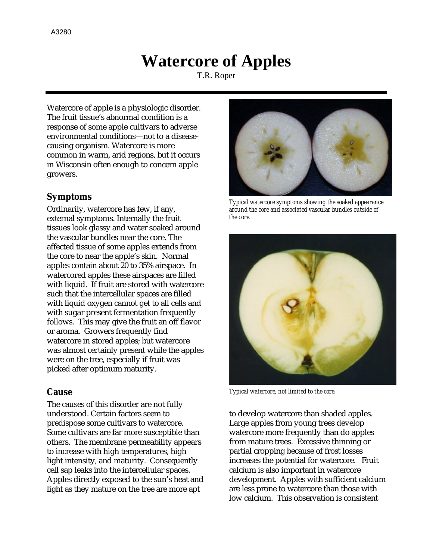## **Watercore of Apples**

T.R. Roper

Watercore of apple is a physiologic disorder. The fruit tissue's abnormal condition is a response of some apple cultivars to adverse environmental conditions—not to a diseasecausing organism. Watercore is more common in warm, arid regions, but it occurs in Wisconsin often enough to concern apple growers.

## **Symptoms**

Ordinarily, watercore has few, if any, external symptoms. Internally the fruit tissues look glassy and water soaked around the vascular bundles near the core. The affected tissue of some apples extends from the core to near the apple's skin. Normal apples contain about 20 to 35% airspace. In watercored apples these airspaces are filled with liquid. If fruit are stored with watercore such that the intercellular spaces are filled with liquid oxygen cannot get to all cells and with sugar present fermentation frequently follows. This may give the fruit an off flavor or aroma. Growers frequently find watercore in stored apples; but watercore was almost certainly present while the apples were on the tree, especially if fruit was picked after optimum maturity.

## **Cause**

The causes of this disorder are not fully understood. Certain factors seem to predispose some cultivars to watercore. Some cultivars are far more susceptible than others. The membrane permeability appears to increase with high temperatures, high light intensity, and maturity. Consequently cell sap leaks into the intercellular spaces. Apples directly exposed to the sun's heat and light as they mature on the tree are more apt



*Typical watercore symptoms showing the soaked appearance around the core and associated vascular bundles outside of the core.*



*Typical watercore, not limited to the core.*

to develop watercore than shaded apples. Large apples from young trees develop watercore more frequently than do apples from mature trees. Excessive thinning or partial cropping because of frost losses increases the potential for watercore. Fruit calcium is also important in watercore development. Apples with sufficient calcium are less prone to watercore than those with low calcium. This observation is consistent